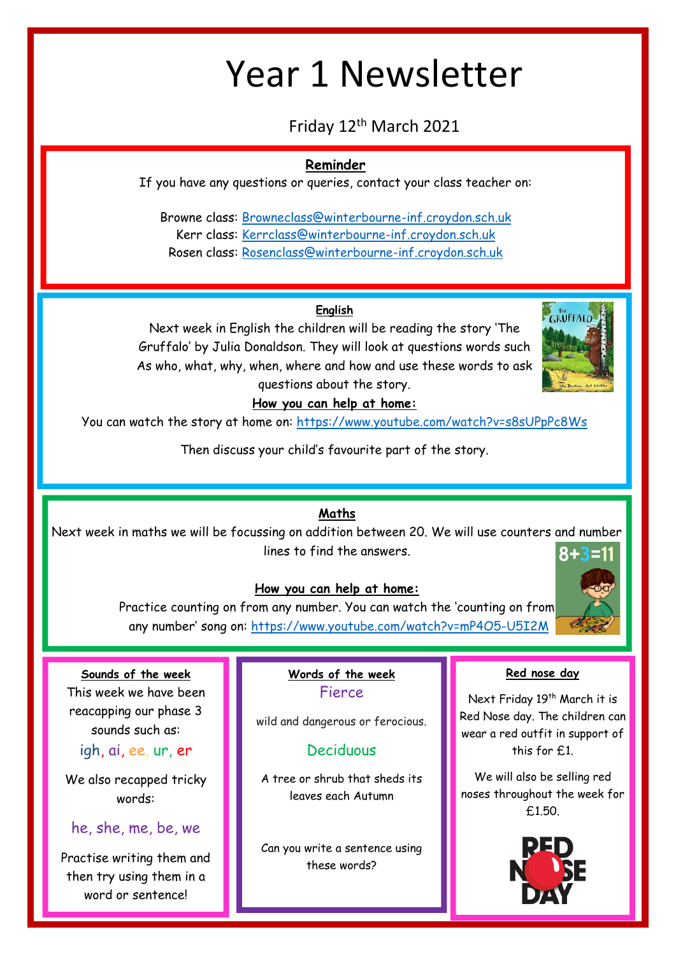# Year 1 Newsletter

# Friday 12th March 2021

# **Reminder**

If you have any questions or queries, contact your class teacher on:

Browne class: [Browneclass@winterbourne-inf.croydon.sch.uk](mailto:Browneclass@winterbourne-inf.croydon.sch.uk) Kerr class: [Kerrclass@winterbourne-inf.croydon.sch.uk](mailto:Kerrclass@winterbourne-inf.croydon.sch.uk) Rosen class: [Rosenclass@winterbourne-inf.croydon.sch.uk](mailto:Rosenclass@winterbourne-inf.croydon.sch.uk)

## **English**

Next week in English the children will be reading the story 'The Gruffalo' by Julia Donaldson. They will look at questions words such As who, what, why, when, where and how and use these words to ask questions about the story.



### **How you can help at home:**

You can watch the story at home on:<https://www.youtube.com/watch?v=s8sUPpPc8Ws>

Then discuss your child's favourite part of the story.

## **Maths**

Next week in maths we will be focussing on addition between 20. We will use counters and number lines to find the answers.

### **How you can help at home:**

Practice counting on from any number. You can watch the 'counting on from any number' song on: <https://www.youtube.com/watch?v=mP4O5-U5I2M>



### **Sounds of the week**

This week we have been reacapping our phase 3 sounds such as:

igh, ai, ee, ur, er

We also recapped tricky words:

## he, she, me, be, we

Practise writing them and then try using them in a word or sentence!

#### **Words of the week** Fierce

wild and dangerous or ferocious.

# Deciduous

A tree or shrub that sheds its leaves each Autumn

Can you write a sentence using these words?

### **Red nose day**

Next Friday 19<sup>th</sup> March it is Red Nose day. The children can wear a red outfit in support of this for £1.

We will also be selling red noses throughout the week for £1.50.